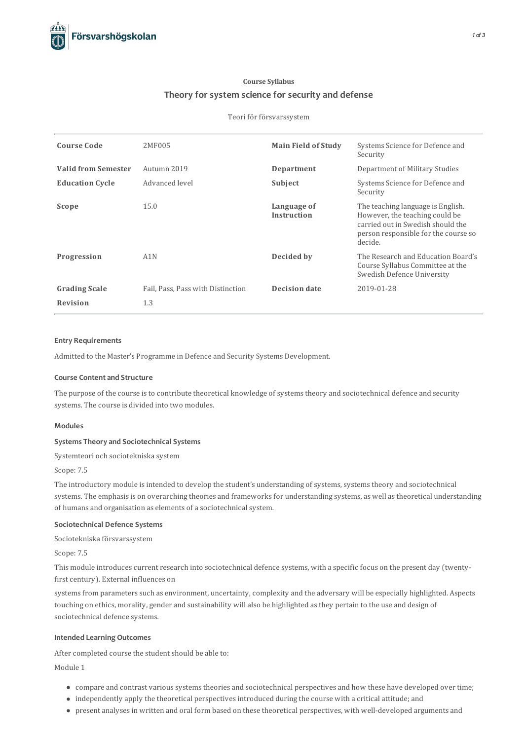# **Course Syllabus Theory for system science for security and defense**

## Teori för försvarssystem

| <b>Course Code</b>         | 2MF005                            | <b>Main Field of Study</b>        | Systems Science for Defence and<br>Security                                                                                                                  |
|----------------------------|-----------------------------------|-----------------------------------|--------------------------------------------------------------------------------------------------------------------------------------------------------------|
| <b>Valid from Semester</b> | Autumn 2019                       | Department                        | Department of Military Studies                                                                                                                               |
| <b>Education Cycle</b>     | Advanced level                    | Subject                           | Systems Science for Defence and<br>Security                                                                                                                  |
| Scope                      | 15.0                              | Language of<br><b>Instruction</b> | The teaching language is English.<br>However, the teaching could be.<br>carried out in Swedish should the<br>person responsible for the course so<br>decide. |
| Progression                | A1N                               | Decided by                        | The Research and Education Board's<br>Course Syllabus Committee at the<br>Swedish Defence University                                                         |
| <b>Grading Scale</b>       | Fail, Pass, Pass with Distinction | <b>Decision date</b>              | 2019-01-28                                                                                                                                                   |
| <b>Revision</b>            | 1.3                               |                                   |                                                                                                                                                              |

# **Entry Requirements**

Admitted to the Master's Programme in Defence and Security Systems Development.

## **Course Contentand Structure**

The purpose of the course is to contribute theoretical knowledge of systems theory and sociotechnical defence and security systems. The course is divided into two modules.

#### **Modules**

## **Systems Theoryand Sociotechnical Systems**

Systemteori och sociotekniska system

## Scope: 7.5

The introductory module is intended to develop the student's understanding of systems, systems theory and sociotechnical systems. The emphasis is on overarching theories and frameworks for understanding systems, as well as theoretical understanding of humans and organisation as elements of a sociotechnical system.

## **Sociotechnical Defence Systems**

Sociotekniska försvarssystem

Scope: 7.5

This module introduces current research into sociotechnical defence systems, with a specific focus on the present day (twentyfirst century). External influences on

systems from parameters such as environment, uncertainty, complexity and the adversary will be especially highlighted. Aspects touching on ethics, morality, gender and sustainability will also be highlighted asthey pertain to the use and design of sociotechnical defence systems.

### **Intended Learning Outcomes**

After completed course the student should be able to:

# Module 1

- compare and contrast varioussystemstheories and sociotechnical perspectives and how these have developed over time;
- independently apply the theoretical perspectivesintroduced during the course with a critical attitude; and
- present analysesin written and oral form based on these theoretical perspectives, with well-developed arguments and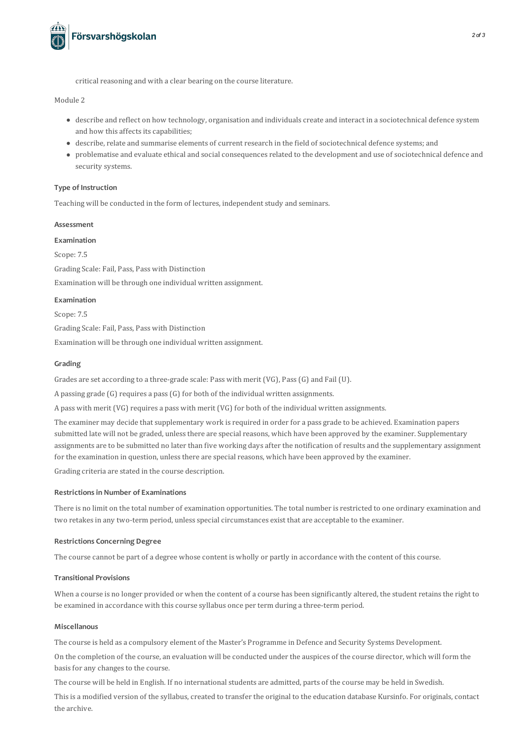

critical reasoning and with a clear bearing on the course literature.

Module 2

- describe and reflect on how technology, organisation and individualscreate and interact in a sociotechnical defence system and how this affects its capabilities;
- describe, relate and summarise elements of current research in the field of sociotechnical defence systems; and
- problematise and evaluate ethical and socialconsequencesrelated to the development and use of sociotechnical defence and security systems.

# **Type of Instruction**

Teaching will be conducted in the form of lectures, independent study and seminars.

## **Assessment**

**Examination**

Scope: 7.5 Grading Scale: Fail, Pass, Pass with Distinction Examination will be through one individual written assignment.

#### **Examination**

Scope: 7.5 Grading Scale: Fail, Pass, Pass with Distinction Examination will be through one individual written assignment.

## **Grading**

Grades are set according to a three-grade scale: Pass with merit (VG), Pass(G) and Fail (U).

A passing grade (G) requires a pass(G) for both of the individual written assignments.

A pass with merit (VG) requires a pass with merit (VG) for both of the individual written assignments.

The examiner may decide that supplementary work is required in order for a pass grade to be achieved. Examination papers submitted late will not be graded, unless there are special reasons, which have been approved by the examiner. Supplementary assignments are to be submitted no later than five working days after the notification of results and the supplementary assignment for the examination in question, unless there are special reasons, which have been approved by the examiner. Grading criteria are stated in the course description.

#### **Restrictionsin Number of Examinations**

There is no limit on the total number of examination opportunities. The total number isrestricted to one ordinary examination and two retakes in any two-term period, unless special circumstances exist that are acceptable to the examiner.

#### **Restrictions Concerning Degree**

The course cannot be part of a degree whose content is wholly or partly in accordance with the content of thiscourse.

# **Transitional Provisions**

When a course is no longer provided or when the content of a course has been significantly altered, the student retains the right to be examined in accordance with thiscourse syllabus once per term during a three-term period.

#### **Miscellanous**

The course is held as a compulsory element of the Master's Programme in Defence and Security Systems Development.

On the completion of the course, an evaluation will be conducted under the auspices of the course director, which will form the basis for any changes to the course.

The course will be held in English. If no international students are admitted, parts of the course may be held in Swedish.

This is a modified version of the syllabus, created to transfer the original to the education database Kursinfo. For originals, contact the archive.